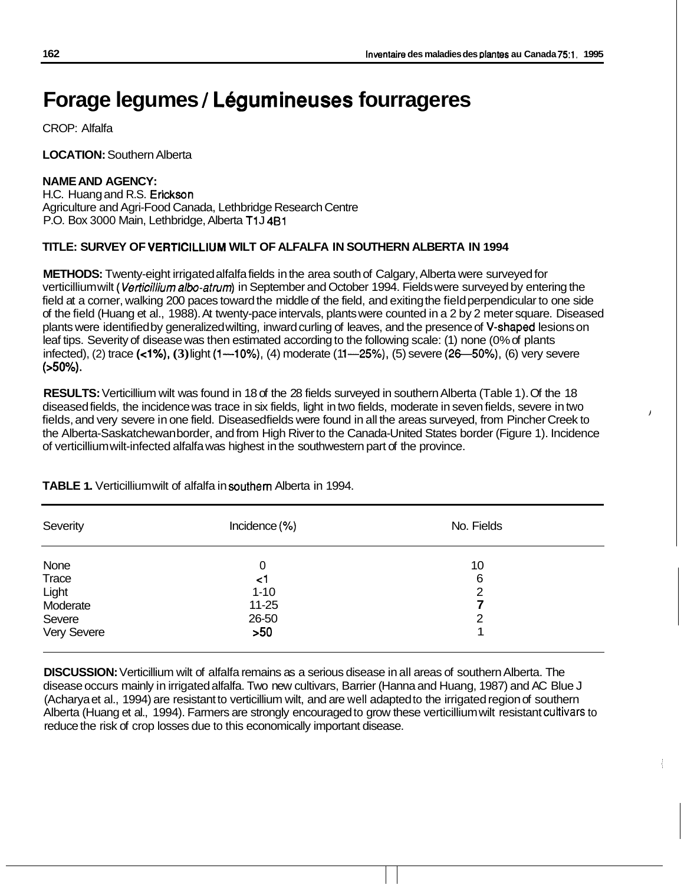/

# **Forage legumes** / **L6gumineuses fourrageres**

CROP: Alfalfa

**LOCATION:** Southern Alberta

# **NAME AND AGENCY:**

H.C. Huang and R.S. Erickson Agriculture and Agri-Food Canada, Lethbridge Research Centre P.O. Box 3000 Main, Lethbridge, Alberta **T1** J 481

# **TITLE: SURVEY OF VERTlClLLlUM WILT OF ALFALFA IN SOUTHERN ALBERTA IN 1994**

**METHODS:** Twenty-eight irrigated alfalfa fields in the area south of Calgary, Alberta were surveyed for verticillium wilt *(Verticillium albo-atrum*) in September and October 1994. Fields were surveyed by entering the field at a corner, walking 200 paces toward the middle of the field, and exiting the field perpendicular to one side of the field (Huang et al., 1988). At twenty-pace intervals, plants were counted in a 2 by 2 meter square. Diseased plants were identified by generalized wilting, inward curling of leaves, and the presence of V-shaped lesions on leaf tips. Severity of disease was then estimated according to the following scale: (1) none (0% of plants infected), (2) trace (<1%), (3) light (1--10%), (4) moderate (11--25%), (5) severe (26-50%), (6) very severe (>So%).

**RESULTS:** Verticillium wilt was found in 18 of the 28 fields surveyed in southern Alberta (Table 1). Of the 18 diseased fields, the incidence was trace in six fields, light in two fields, moderate in seven fields, severe in two fields, and very severe in one field. Diseased fields were found in all the areas surveyed, from Pincher Creek to the Alberta-Saskatchewan border, and from High River to the Canada-United States border (Figure 1). Incidence of verticillium wilt-infected alfalfa was highest in the southwestern part of the province.

| Severity    | Incidence (%) | No. Fields |  |
|-------------|---------------|------------|--|
| None        | 0             | 10         |  |
| Trace       | <1            | 6          |  |
| Light       | $1 - 10$      | 2          |  |
| Moderate    | $11 - 25$     | 7          |  |
| Severe      | 26-50         | 2          |  |
| Very Severe | >50           |            |  |

**TABLE 1.** Verticillium wilt of alfalfa in southern Alberta in 1994.

**DISCUSSION:** Verticillium wilt of alfalfa remains as a serious disease in all areas of southern Alberta. The disease occurs mainly in irrigated alfalfa. Two new cultivars, Barrier (Hanna and Huang, 1987) and AC Blue J (Acharya et al., 1994) are resistant to verticillium wilt, and are well adapted to the irrigated region of southern Alberta (Huang et al., 1994). Farmers are strongly encouraged to grow these verticillium wilt resistant cultivars to reduce the risk of crop losses due to this economically important disease.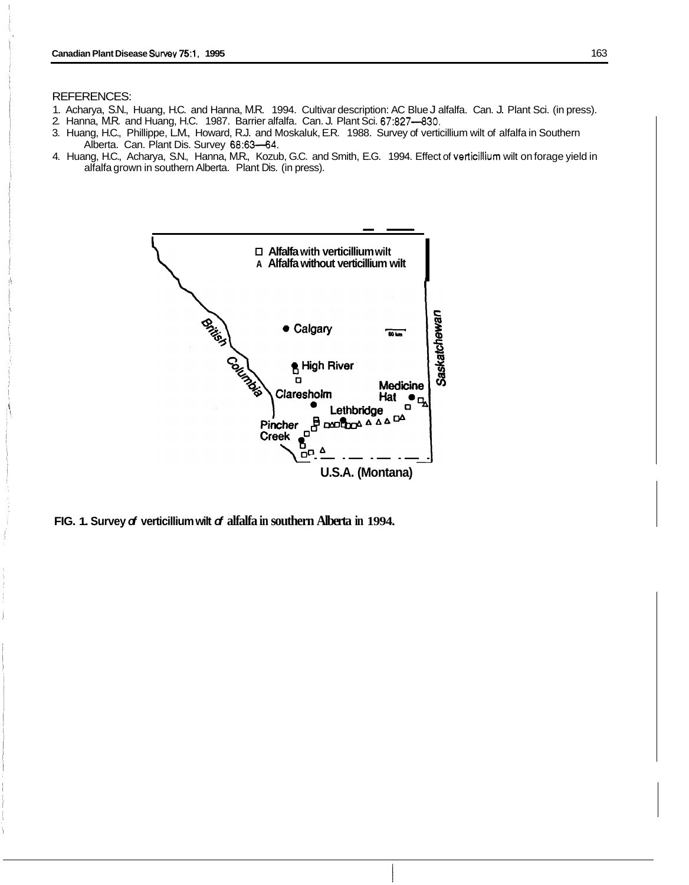#### REFERENCES:

- 1. Acharya, S.N., Huang, H.C. and Hanna, M.R. 1994. Cultivar description: AC Blue J alfalfa. Can. J. Plant Sci. (in press).
- 2. Hanna, M.R. and Huang, H.C. 1987. Barrier alfalfa. Can. J. Plant Sci. 67:827-830.
- 3. Huang, H.C., Phillippe, L.M., Howard, R.J. and Moskaluk, E.R. 1988. Survey of verticillium wilt of alfalfa in Southern Alberta. Can. Plant Dis. Survey 68:63-64.
- alfalfa grown in southern Alberta. Plant Dis. (in press).



**FIG. 1. Survey** *of* **verticillium wilt** *of* **alfalfa in southern Alberta in 1994.**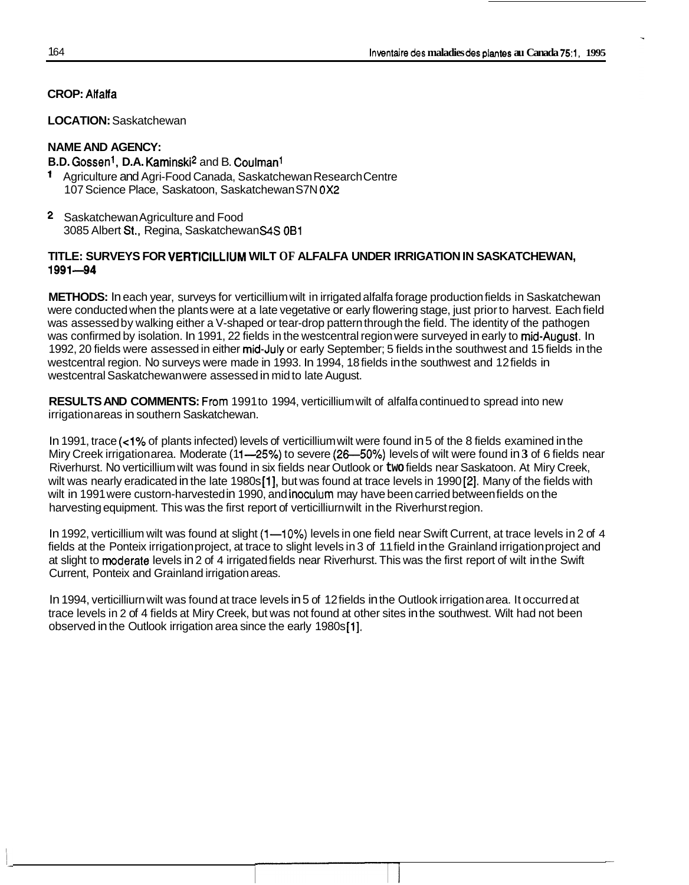# **CROP:** Atfalfa

# **LOCATION:** Saskatchewan

# **NAME AND AGENCY:**

# **B.D.** Gossent, **D.A.** Kaminski2 and B. Coulmanl

- Agriculture and Agri-Food Canada, Saskatchewan Research Centre 107 Science Place, Saskatoon, Saskatchewan S7N *OX2*
- **2** Saskatchewan Agriculture and Food 3085 Albert St., Regina, Saskatchewan *S4S* OB1

# **TITLE: SURVEYS FOR VERTlClLLlUM WILT OF ALFALFA UNDER IRRIGATION IN SASKATCHEWAN, 1991-94**

**METHODS:** In each year, surveys for verticillium wilt in irrigated alfalfa forage production fields in Saskatchewan were conducted when the plants were at a late vegetative or early flowering stage, just prior to harvest. Each field was assessed by walking either a V-shaped or tear-drop pattern through the field. The identity of the pathogen was confirmed by isolation. In 1991, 22 fields in the westcentral region were surveyed in early to mid-August. In 1992, 20 fields were assessed in either mid-July or early September; 5 fields in the southwest and 15 fields in the westcentral region. No surveys were made in 1993. In 1994, 18 fields in the southwest and 12 fields in westcentral Saskatchewan were assessed in mid to late August.

**RESULTS AND COMMENTS:** From 1991 to 1994, verticillium wilt of alfalfa continued to spread into new irrigation areas in southern Saskatchewan.

In 1991, trace **(~1%** of plants infected) levels of verticillium wilt were found in 5 of the 8 fields examined in the Miry Creek irrigation area. Moderate (11-25%) to severe (26-50%) levels of wilt were found in 3 of 6 fields near Nilly Creek imgallorialea. Moderate (11—25%) to severe (26—50%) levels of will were found in 5 of 6 fields he<br>Riverhurst. No verticillium wilt was found in six fields near Outlook or two fields near Saskatoon. At Miry Cree wilt in 1991 were custorn-harvested in 1990, and inoculum may have been carried between fields on the harvesting equipment. This was the first report of verticilliurn wilt in the Riverhurst region.

In 1992, verticillium wilt was found at slight  $(1-10%)$  levels in one field near Swift Current, at trace levels in 2 of 4 fields at the Ponteix irrigation project, at trace to slight levels in 3 of 11 field in the Grainland irrigation project and at slight to moderate levels in 2 of 4 irrigated fields near Riverhurst. This was the first report of wilt in the Swift Current, Ponteix and Grainland irrigation areas.

In 1994, verticilliurn wilt was found at trace levels in 5 of 12 fields in the Outlook irrigation area. It occurred at In 1994, veniciliium will was found at trace levels in 5 or 12 fields in the Outlook imgation area. It occurred at<br>trace levels in 2 of 4 fields at Miry Creek, but was not found at other sites in the southwest. Wilt had no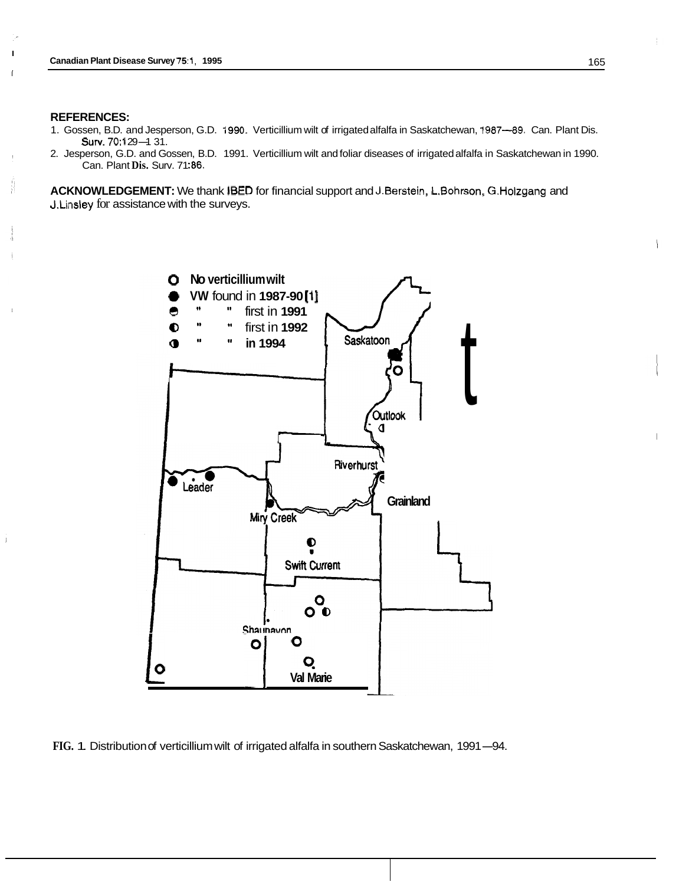#### **REFERENCES:**

I

Ñ

- 1. Gossen, B.D. and Jesperson, G.D. 1990. Verticillium wilt of irrigated alfalfa in Saskatchewan, 1987-89. Can. Plant Dis. **RENCES:<br>sen, B.D. and Jespe<br>Surv. 70:129–1 31.**<br>sersen, G.D. and Ga
- 2. Jesperson, G.D. and Gossen, B.D. 1991. Verticillium wilt and foliar diseases of irrigated alfalfa in Saskatchewan in 1990. Can. Plant **Dis.** Surv. 71 :86.

**ACKNOWLEDGEMENT:** We thank **BED** for financial support and J.Berstein, L.Bohrson,, G.Holzgang and J.Linsley for assistance with the surveys.



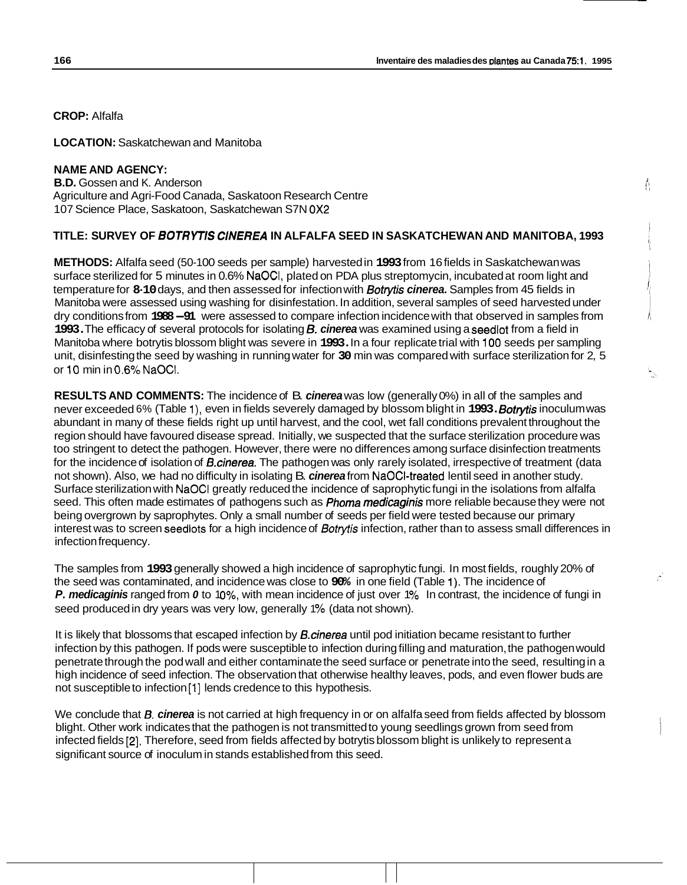$\mathfrak{l}_1$ 

**CROP:** Alfalfa

**LOCATION:** Saskatchewan and Manitoba

### **NAME AND AGENCY: B.D.** Gossen and K. Anderson Agriculture and Agri-Food Canada, Saskatoon Research Centre 107 Science Place, Saskatoon, Saskatchewan S7N **OX2**

## **TITLE: SURVEY OF** *BOTRYTB C/N€R€A* **IN ALFALFA SEED IN SASKATCHEWAN AND MANITOBA, 1993**

**METHODS:** Alfalfa seed (50-1 00 seeds per sample) harvested in **1993** from 16 fields in Saskatchewan was surface sterilized for 5 minutes in 0.6% NaOCI, plated on PDA plus streptomycin, incubated at room light and temperature for **8-10** days, and then assessed for infection with *Bofrytis cinerea.* Samples from 45 fields in Manitoba were assessed using washing for disinfestation. In addition, several samples of seed harvested under dry conditions from **1988-91** were assessed to compare infection incidence with that observed in samples from **1993.** The efficacy of several protocols for isolating **6.** *cinerea* was examined using a seedlot from a field in Manitoba where botrytis blossom blight was severe in **1993.** In a four replicate trial with **100** seeds per sampling unit, disinfesting the seed by washing in running water for **30** min was compared with surface sterilization for 2, 5 or 10 min in *0.6%* NaOCl.

**RESULTS AND COMMENTS:** The incidence of B. *cinerea* was low (generally 0%) in all of the samples and never exceeded 6% (Table I), even in fields severely damaged by blossom blight in **1993.** *Sofryfis* inoculum was abundant in many of these fields right up until harvest, and the cool, wet fall conditions prevalent throughout the region should have favoured disease spread. Initially, we suspected that the surface sterilization procedure was too stringent to detect the pathogen. However, there were no differences among surface disinfection treatments for the incidence of isolation of *B.cinerea.* The pathogen was only rarely isolated, irrespective of treatment (data not shown). Also, we had no difficulty in isolating B. *cinerea* from NaOCI-treated lentil seed in another study. Surface sterilization with NaOCl greatly reduced the incidence of saprophytic fungi in the isolations from alfalfa seed. This often made estimates of pathogens such as *Phoma medicaginis* more reliable because they were not being overgrown by saprophytes. Only a small number of seeds per field were tested because our primary interest was to screen seedlots for a high incidence of *Bofrytis* infection, rather than to assess small differences in infection frequency.

The samples from **1993** generally showed a high incidence of saprophytic fungi. In most fields, roughly 20% of the seed was contaminated, and incidence was close to **90%** in one field (Table 1). The incidence of **P. medicaginis** ranged from 0 to 10%, with mean incidence of just over 1% In contrast, the incidence of fungi in seed produced in dry years was very low, generally 1% (data not shown).

It is likely that blossoms that escaped infection by *B.cinerea* until pod initiation became resistant to further infection by this pathogen. If pods were susceptible to infection during filling and maturation, the pathogen would penetrate through the pod wall and either contaminate the seed surface or penetrate into the seed, resulting in a high incidence of seed infection. The observation that otherwise healthy leaves, pods, and even flower buds are not susceptible to infection [1] lends credence to this hypothesis.

We conclude that *B. cinerea* is not carried at high frequency in or on alfalfa seed from fields affected by blossom blight. Other work indicates that the pathogen is not transmitted to young seedlings grown from seed from infected fields **[2].** Therefore, seed from fields affected by botrytis blossom blight is unlikely to represent a significant source of inoculum in stands established from this seed.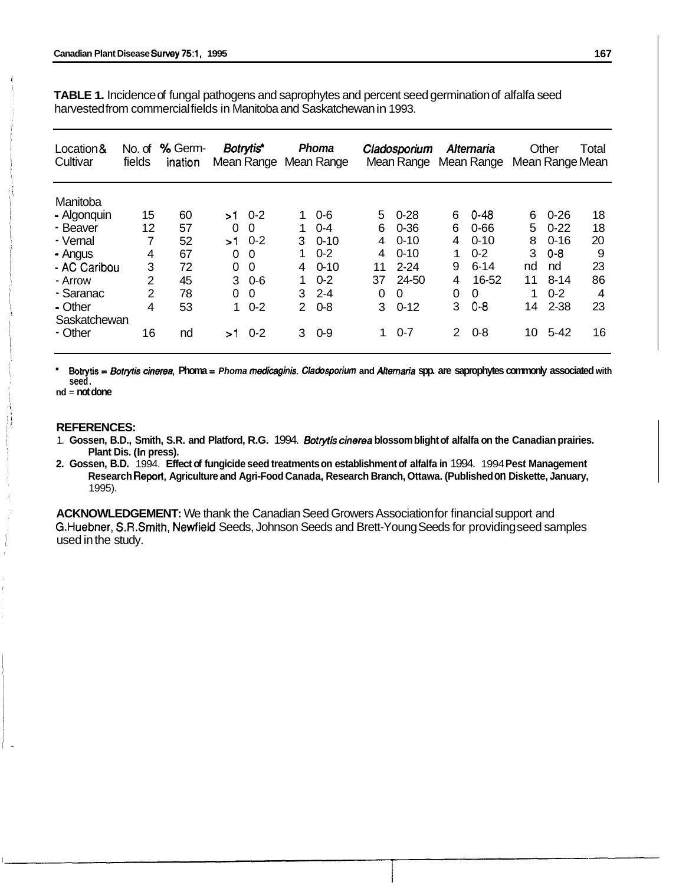**TABLE 1.** Incidence of fungal pathogens and saprophytes and percent seed germination of alfalfa seed harvested from commercial fields in Manitoba and Saskatchewan in 1993.

| Location&<br>Cultivar | No. of<br>fields | % Germ-<br>ination |          | Botrytis* |               | <b>Phoma</b><br>Mean Range Mean Range |    | Cladosporium<br>Mean Range |                | Alternaria<br>Mean Range |    | Other    | Total<br>Mean Range Mean |
|-----------------------|------------------|--------------------|----------|-----------|---------------|---------------------------------------|----|----------------------------|----------------|--------------------------|----|----------|--------------------------|
| Manitoba              |                  |                    |          |           |               |                                       |    |                            |                |                          |    |          |                          |
| - Algonquin           | 15               | 60                 | >1       | $0 - 2$   | 1.            | $0 - 6$                               | 5  | $0 - 28$                   | 6              | 0-48                     | 6  | $0 - 26$ | 18                       |
| - Beaver              | 12               | 57                 | 0        | 0         | 1             | $0 - 4$                               | 6  | $0 - 36$                   | 6              | $0 - 66$                 | 5  | $0 - 22$ | 18                       |
| - Vernal              | 7                | 52                 | >1       | $0 - 2$   | 3             | $0 - 10$                              | 4  | $0 - 10$                   | 4              | $0 - 10$                 | 8  | $0 - 16$ | 20                       |
| - Angus               | 4                | 67                 | 0        | 0         |               | $0 - 2$                               | 4  | $0 - 10$                   | 1              | $0 - 2$                  | 3  | $0 - 8$  | 9                        |
| - AC Caribou          | 3                | 72                 | $\Omega$ | $\Omega$  | 4             | $0 - 10$                              | 11 | $2 - 24$                   | 9              | $6 - 14$                 | nd | nd       | 23                       |
| - Arrow               | 2                | 45                 | 3        | $0 - 6$   | 1             | $0 - 2$                               | 37 | 24-50                      | $\overline{4}$ | 16-52                    | 11 | $8 - 14$ | 86                       |
| - Saranac             | $\overline{2}$   | 78                 | $\Omega$ | 0         | 3             | $2 - 4$                               | 0  | $\Omega$                   | 0              | 0                        | 1  | $0 - 2$  | 4                        |
| - Other               | 4                | 53                 | 1        | $0 - 2$   | $\mathcal{P}$ | $0 - 8$                               | 3  | $0 - 12$                   | 3              | $0 - 8$                  | 14 | $2 - 38$ | 23                       |
| Saskatchewan          |                  |                    |          |           |               |                                       |    |                            |                |                          |    |          |                          |
| - Other               | 16               | nd                 | >1       | $0 - 2$   | 3             | $0-9$                                 | 1. | $0 - 7$                    | $\overline{2}$ | $0 - 8$                  | 10 | $5 - 42$ | 16                       |

**Botrytis** = *sOlty7i.s cinerea,* **Phoma** = *Phoma mediaginis. Cladosporium* **and** *Alternaria* **spp. are saprophytes commonly associated with seed.** 

**nd** = **not done** 

#### **REFERENCES:**

- 1. **Gossen, B.D., Smith, S.R. and Platford, R.G.** 1994. *Botrytis cinerea* **blossom blight of alfalfa on the Canadian prairies. Plant Dis. (In press).**
- **2. Gossen, B.D.** 1994. **Effect of fungicide seed treatments on establishment of alfalfa in** 1994. 1994 **Pest Management Research Report, Agriculture and Agri-Food Canada, Research Branch, Ottawa. (Published on Diskette, January,**  1995).

**ACKNOWLEDGEMENT:** We thank the Canadian Seed Growers Association for financial support and G.Huebner, S.R.Smith, Newfield Seeds, Johnson Seeds and Brett-Young Seeds for providing seed samples used in the study.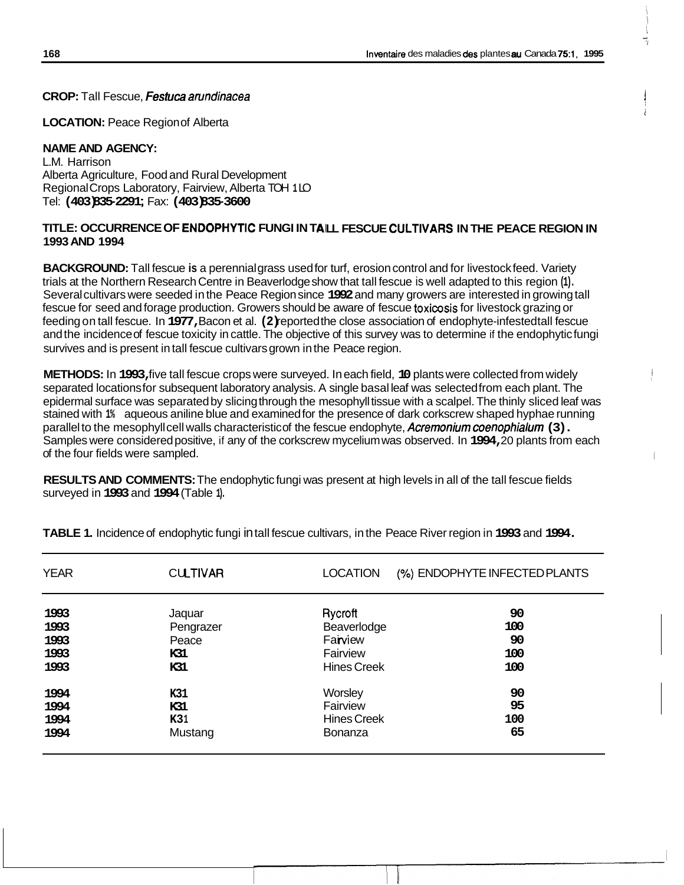**CROP:** Tall Fescue, *Fesfuca arundinacea* 

**LOCATION: Peace Region of Alberta** 

## **NAME AND AGENCY:**

L.M. Harrison Alberta Agriculture, Food and Rural Development Regional Crops Laboratory, Fairview, Alberta TOH **1** LO Tel: **(403) 835-2291** ; Fax: **(403) 835-3600** 

## TITLE: OCCURRENCE OF ENDOPHYTIC FUNGI IN TAILL FESCUE CULTIVARS IN THE PEACE REGION IN **1993 AND 1994**

**BACKGROUND:** Tall fescue **is** a perennial grass used for turf, erosion control and for livestock feed. Variety trials at the Northern Research Centre in Beaverlodge show that tall fescue is well adapted to this region **(1).**  Several cultivars were seeded in the Peace Region since **1992** and many growers are interested in growing tall fescue for seed and forage production. Growers should be aware of fescue toxicosis for livestock grazing or feeding on tall fescue. In **1977,** Bacon et al. **(2)** reported the close association of endophyte-infested tall fescue and the incidence of fescue toxicity in cattle. The objective of this survey was to determine if the endophytic fungi survives and is present in tall fescue cultivars grown in the Peace region.

**METHODS:** In **1993,** five tall fescue crops were surveyed. In each field, **10** plants were collected from widely separated locations for subsequent laboratory analysis. A single basal leaf was selected from each plant. The epidermal surface was separated by slicing through the mesophyll tissue with a scalpel. The thinly sliced leaf was stained with **1%** aqueous aniline blue and examined for the presence of dark corkscrew shaped hyphae running parallel to the mesophyll cell walls characteristic of the fescue endophyte, **Acremonium coenophialum (3).** Samples were considered positive, if any of the corkscrew mycelium was observed. In **1994,** 20 plants from each of the four fields were sampled.

**RESULTS AND COMMENTS:** The endophytic fungi was present at high levels in all of the tall fescue fields surveyed in **1993** and **1994** (Table **1).** 

| <b>YEAR</b> | <b>CULTIVAR</b> | <b>LOCATION</b>    | (%) ENDOPHYTE INFECTED PLANTS |
|-------------|-----------------|--------------------|-------------------------------|
| 1993        | Jaquar          | Rycroft            | 90                            |
| 1993        | Pengrazer       | Beaverlodge        | 100                           |
| 1993        | Peace           | Farview            | 90                            |
| 1993        | K31             | Fairview           | 100                           |
| 1993        | K31             | <b>Hines Creek</b> | 100                           |
| 1994        | K31             | Worsley            | 90                            |
| 1994        | K31             | Fairview           | 95                            |
| 1994        | K31             | <b>Hines Creek</b> | 100                           |
| 1994        | Mustang         | <b>Bonanza</b>     | 65                            |

**TABLE 1.** Incidence of endophytic fungi in tall fescue cultivars, in the Peace River region in **1993** and **1994.**